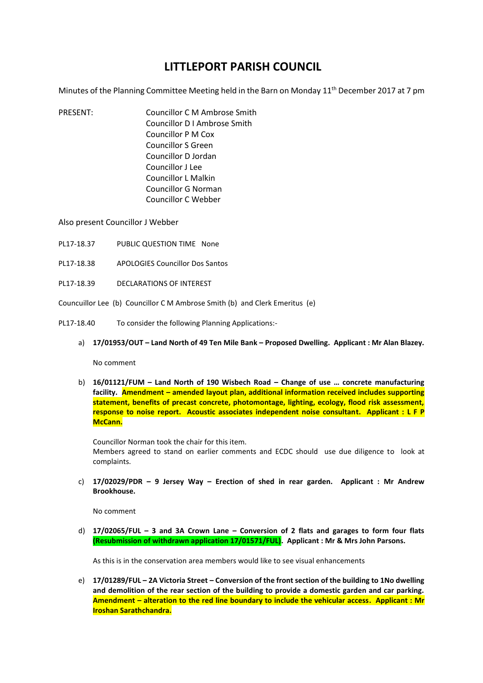## **LITTLEPORT PARISH COUNCIL**

Minutes of the Planning Committee Meeting held in the Barn on Monday  $11<sup>th</sup>$  December 2017 at 7 pm

PRESENT: Councillor C M Ambrose Smith Councillor D I Ambrose Smith Councillor P M Cox Councillor S Green Councillor D Jordan Councillor J Lee Councillor L Malkin Councillor G Norman Councillor C Webber

Also present Councillor J Webber

- PL17-18.37 PUBLIC QUESTION TIME None
- PL17-18.38 APOLOGIES Councillor Dos Santos
- PL17-18.39 DECLARATIONS OF INTEREST

Councuillor Lee (b) Councillor C M Ambrose Smith (b) and Clerk Emeritus (e)

- PL17-18.40 To consider the following Planning Applications:
	- a) **17/01953/OUT – Land North of 49 Ten Mile Bank – Proposed Dwelling. Applicant : Mr Alan Blazey.**

No comment

b) **16/01121/FUM – Land North of 190 Wisbech Road – Change of use … concrete manufacturing facility. Amendment – amended layout plan, additional information received includes supporting statement, benefits of precast concrete, photomontage, lighting, ecology, flood risk assessment, response to noise report. Acoustic associates independent noise consultant. Applicant : L F P McCann.**

Councillor Norman took the chair for this item. Members agreed to stand on earlier comments and ECDC should use due diligence to look at complaints.

c) **17/02029/PDR – 9 Jersey Way – Erection of shed in rear garden. Applicant : Mr Andrew Brookhouse.**

No comment

d) **17/02065/FUL – 3 and 3A Crown Lane – Conversion of 2 flats and garages to form four flats (Resubmission of withdrawn application 17/01571/FUL). Applicant : Mr & Mrs John Parsons.**

As this is in the conservation area members would like to see visual enhancements

e) **17/01289/FUL – 2A Victoria Street – Conversion of the front section of the building to 1No dwelling and demolition of the rear section of the building to provide a domestic garden and car parking. Amendment – alteration to the red line boundary to include the vehicular access. Applicant : Mr Iroshan Sarathchandra.**